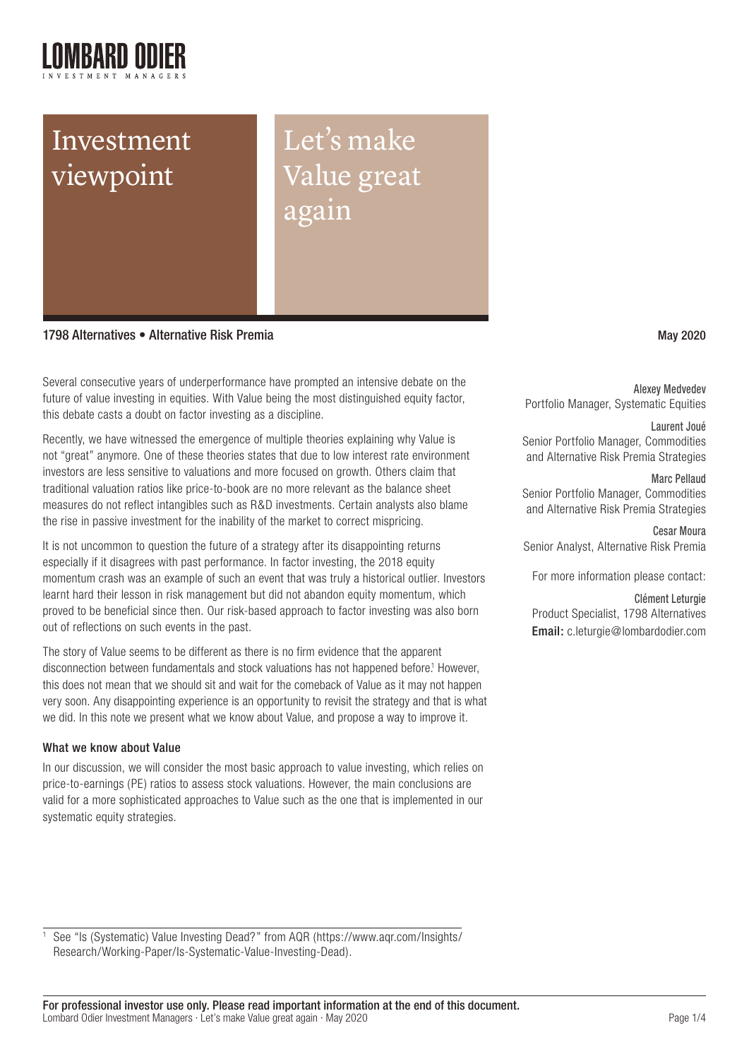# Investment viewpoint

Let's make Value great again

1798 Alternatives • Alternative Risk Premia May 2020

Several consecutive years of underperformance have prompted an intensive debate on the future of value investing in equities. With Value being the most distinguished equity factor, this debate casts a doubt on factor investing as a discipline.

Recently, we have witnessed the emergence of multiple theories explaining why Value is not "great" anymore. One of these theories states that due to low interest rate environment investors are less sensitive to valuations and more focused on growth. Others claim that traditional valuation ratios like price-to-book are no more relevant as the balance sheet measures do not reflect intangibles such as R&D investments. Certain analysts also blame the rise in passive investment for the inability of the market to correct mispricing.

It is not uncommon to question the future of a strategy after its disappointing returns especially if it disagrees with past performance. In factor investing, the 2018 equity momentum crash was an example of such an event that was truly a historical outlier. Investors learnt hard their lesson in risk management but did not abandon equity momentum, which proved to be beneficial since then. Our risk-based approach to factor investing was also born out of reflections on such events in the past.

The story of Value seems to be different as there is no firm evidence that the apparent disconnection between fundamentals and stock valuations has not happened before.<sup>1</sup> However, this does not mean that we should sit and wait for the comeback of Value as it may not happen very soon. Any disappointing experience is an opportunity to revisit the strategy and that is what we did. In this note we present what we know about Value, and propose a way to improve it.

#### What we know about Value

In our discussion, we will consider the most basic approach to value investing, which relies on price-to-earnings (PE) ratios to assess stock valuations. However, the main conclusions are valid for a more sophisticated approaches to Value such as the one that is implemented in our systematic equity strategies.

Alexey Medvedev Portfolio Manager, Systematic Equities

## Laurent Joué

Senior Portfolio Manager, Commodities and Alternative Risk Premia Strategies

#### Marc Pellaud

Senior Portfolio Manager, Commodities and Alternative Risk Premia Strategies

Cesar Moura Senior Analyst, Alternative Risk Premia

For more information please contact:

#### Clément Leturgie

Product Specialist, 1798 Alternatives Email: c.leturgie@lombardodier.com

<sup>1</sup> See "Is (Systematic) Value Investing Dead?" from AQR (https://www.aqr.com/Insights/ Research/Working-Paper/Is-Systematic-Value-Investing-Dead).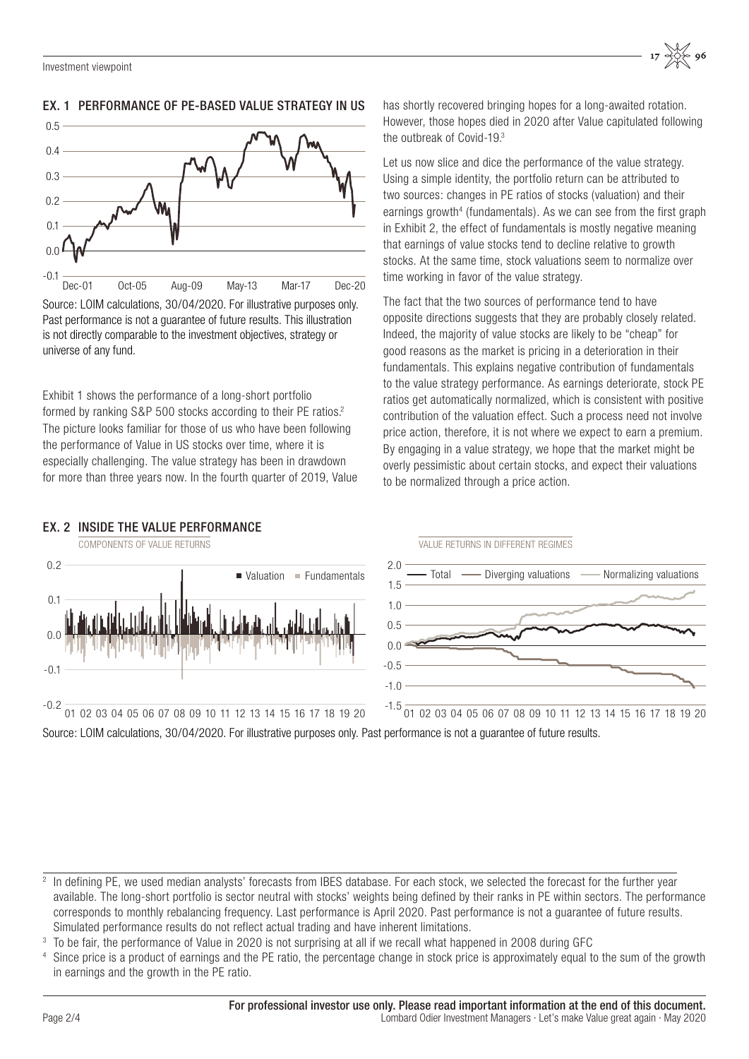-0.2

-0.1

 $0<sup>0</sup>$ 

0.1

0.2

 $\blacksquare$  Valuation  $\blacksquare$  Fundamentals

<sup>2</sup> In defining PE, we used median analysts' forecasts from IBES database. For each stock, we selected the forecast for the further year available. The long-short portfolio is sector neutral with stocks' weights being defined by their ranks in PE within sectors. The performance corresponds to monthly rebalancing frequency. Last performance is April 2020. Past performance is not a guarantee of future results. Simulated performance results do not reflect actual trading and have inherent limitations.

<sup>3</sup> To be fair, the performance of Value in 2020 is not surprising at all if we recall what happened in 2008 during GFC

Since price is a product of earnings and the PE ratio, the percentage change in stock price is approximately equal to the sum of the growth in earnings and the growth in the PE ratio.

0.5



### EX. 1 PERFORMANCE OF PE-BASED VALUE STRATEGY IN US

Source: LOIM calculations, 30/04/2020. For illustrative purposes only. Past performance is not a guarantee of future results. This illustration is not directly comparable to the investment objectives, strategy or universe of any fund.

Exhibit 1 shows the performance of a long-short portfolio formed by ranking S&P 500 stocks according to their PE ratios.<sup>2</sup> The picture looks familiar for those of us who have been following the performance of Value in US stocks over time, where it is especially challenging. The value strategy has been in drawdown for more than three years now. In the fourth quarter of 2019, Value

01 02 03 04 05 06 07 08 09 10 11 12 13 14 15 16 17 18 19 20

has shortly recovered bringing hopes for a long-awaited rotation. However, those hopes died in 2020 after Value capitulated following the outbreak of Covid-19.3

 $17 \frac{10000}{2000}$  96

Let us now slice and dice the performance of the value strategy. Using a simple identity, the portfolio return can be attributed to two sources: changes in PE ratios of stocks (valuation) and their earnings growth<sup>4</sup> (fundamentals). As we can see from the first graph in Exhibit 2, the effect of fundamentals is mostly negative meaning that earnings of value stocks tend to decline relative to growth stocks. At the same time, stock valuations seem to normalize over time working in favor of the value strategy.

The fact that the two sources of performance tend to have opposite directions suggests that they are probably closely related. Indeed, the majority of value stocks are likely to be "cheap" for good reasons as the market is pricing in a deterioration in their fundamentals. This explains negative contribution of fundamentals to the value strategy performance. As earnings deteriorate, stock PE ratios get automatically normalized, which is consistent with positive contribution of the valuation effect. Such a process need not involve price action, therefore, it is not where we expect to earn a premium. By engaging in a value strategy, we hope that the market might be overly pessimistic about certain stocks, and expect their valuations to be normalized through a price action.



#### EX. 2 INSIDE THE VALUE PERFORMANCE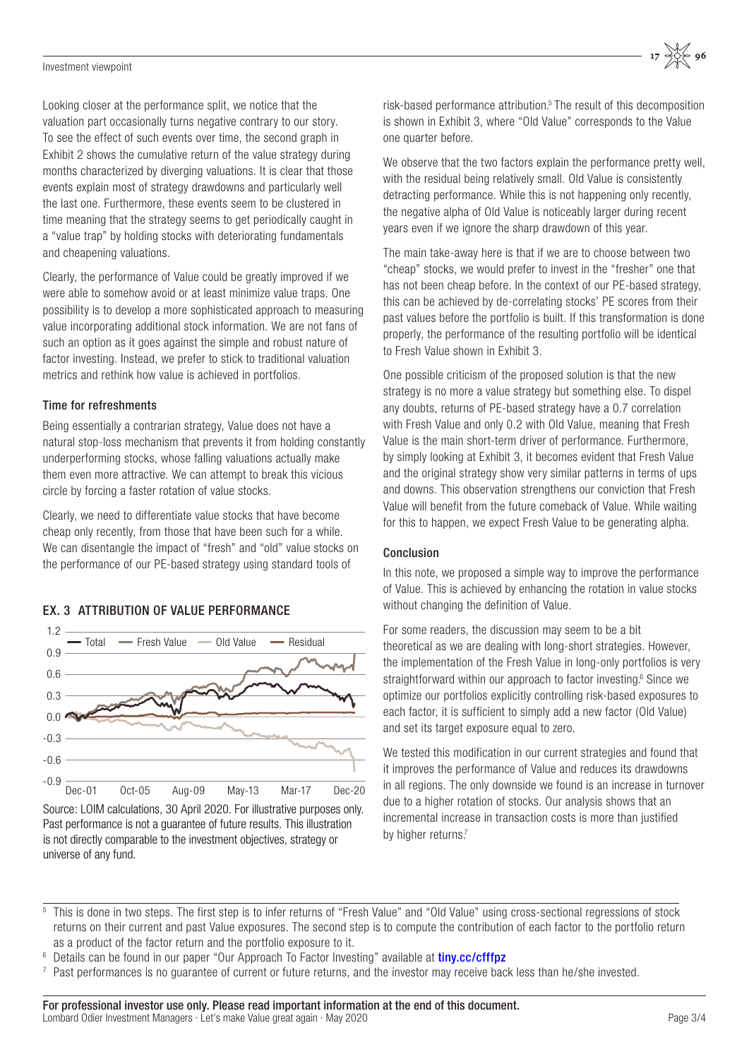#### Investment viewpoint

Looking closer at the performance split, we notice that the valuation part occasionally turns negative contrary to our story. To see the effect of such events over time, the second graph in Exhibit 2 shows the cumulative return of the value strategy during months characterized by diverging valuations. It is clear that those events explain most of strategy drawdowns and particularly well the last one. Furthermore, these events seem to be clustered in time meaning that the strategy seems to get periodically caught in a "value trap" by holding stocks with deteriorating fundamentals and cheapening valuations.

Clearly, the performance of Value could be greatly improved if we were able to somehow avoid or at least minimize value traps. One possibility is to develop a more sophisticated approach to measuring value incorporating additional stock information. We are not fans of such an option as it goes against the simple and robust nature of factor investing. Instead, we prefer to stick to traditional valuation metrics and rethink how value is achieved in portfolios.

#### Time for refreshments

Being essentially a contrarian strategy, Value does not have a natural stop-loss mechanism that prevents it from holding constantly underperforming stocks, whose falling valuations actually make them even more attractive. We can attempt to break this vicious circle by forcing a faster rotation of value stocks.

Clearly, we need to differentiate value stocks that have become cheap only recently, from those that have been such for a while. We can disentangle the impact of "fresh" and "old" value stocks on the performance of our PE-based strategy using standard tools of

#### EX. 3 ATTRIBUTION OF VALUE PERFORMANCE



Source: LOIM calculations, 30 April 2020. For illustrative purposes only. Past performance is not a guarantee of future results. This illustration is not directly comparable to the investment objectives, strategy or universe of any fund.

risk-based performance attribution.<sup>5</sup> The result of this decomposition is shown in Exhibit 3, where "Old Value" corresponds to the Value one quarter before.

We observe that the two factors explain the performance pretty well. with the residual being relatively small. Old Value is consistently detracting performance. While this is not happening only recently, the negative alpha of Old Value is noticeably larger during recent years even if we ignore the sharp drawdown of this year.

The main take-away here is that if we are to choose between two "cheap" stocks, we would prefer to invest in the "fresher" one that has not been cheap before. In the context of our PE-based strategy, this can be achieved by de-correlating stocks' PE scores from their past values before the portfolio is built. If this transformation is done properly, the performance of the resulting portfolio will be identical to Fresh Value shown in Exhibit 3.

One possible criticism of the proposed solution is that the new strategy is no more a value strategy but something else. To dispel any doubts, returns of PE-based strategy have a 0.7 correlation with Fresh Value and only 0.2 with Old Value, meaning that Fresh Value is the main short-term driver of performance. Furthermore, by simply looking at Exhibit 3, it becomes evident that Fresh Value and the original strategy show very similar patterns in terms of ups and downs. This observation strengthens our conviction that Fresh Value will benefit from the future comeback of Value. While waiting for this to happen, we expect Fresh Value to be generating alpha.

#### Conclusion

In this note, we proposed a simple way to improve the performance of Value. This is achieved by enhancing the rotation in value stocks without changing the definition of Value.

For some readers, the discussion may seem to be a bit theoretical as we are dealing with long-short strategies. However, the implementation of the Fresh Value in long-only portfolios is very straightforward within our approach to factor investing.<sup>6</sup> Since we optimize our portfolios explicitly controlling risk-based exposures to each factor, it is sufficient to simply add a new factor (Old Value) and set its target exposure equal to zero.

We tested this modification in our current strategies and found that it improves the performance of Value and reduces its drawdowns in all regions. The only downside we found is an increase in turnover due to a higher rotation of stocks. Our analysis shows that an incremental increase in transaction costs is more than justified by higher returns.<sup>7</sup>

- <sup>5</sup> This is done in two steps. The first step is to infer returns of "Fresh Value" and "Old Value" using cross-sectional regressions of stock returns on their current and past Value exposures. The second step is to compute the contribution of each factor to the portfolio return as a product of the factor return and the portfolio exposure to it.
- Details can be found in our paper "Our Approach To Factor Investing" available at *[tiny.cc/cfffpz](https://am.lombardodier.com/files/live/sites/am/files/images/AssetManagement/Investment strategies/Alternative Risk Premia/Lombard Odier_Our approach to factor investing_EU.pdf)*
- Past performances is no quarantee of current or future returns, and the investor may receive back less than he/she invested.